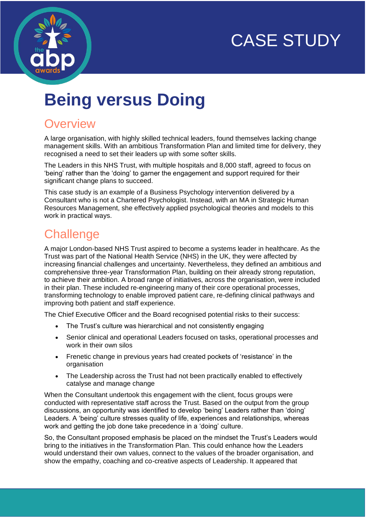



# **Being versus Doing**

## **Overview**

A large organisation, with highly skilled technical leaders, found themselves lacking change management skills. With an ambitious Transformation Plan and limited time for delivery, they recognised a need to set their leaders up with some softer skills.

The Leaders in this NHS Trust, with multiple hospitals and 8,000 staff, agreed to focus on 'being' rather than the 'doing' to garner the engagement and support required for their significant change plans to succeed.

This case study is an example of a Business Psychology intervention delivered by a Consultant who is not a Chartered Psychologist. Instead, with an MA in Strategic Human Resources Management, she effectively applied psychological theories and models to this work in practical ways.

# **Challenge**

A major London-based NHS Trust aspired to become a systems leader in healthcare. As the Trust was part of the National Health Service (NHS) in the UK, they were affected by increasing financial challenges and uncertainty. Nevertheless, they defined an ambitious and comprehensive three-year Transformation Plan, building on their already strong reputation, to achieve their ambition. A broad range of initiatives, across the organisation, were included in their plan. These included re-engineering many of their core operational processes, transforming technology to enable improved patient care, re-defining clinical pathways and improving both patient and staff experience.

The Chief Executive Officer and the Board recognised potential risks to their success:

- The Trust's culture was hierarchical and not consistently engaging
- Senior clinical and operational Leaders focused on tasks, operational processes and work in their own silos
- Frenetic change in previous years had created pockets of 'resistance' in the organisation
- The Leadership across the Trust had not been practically enabled to effectively catalyse and manage change

When the Consultant undertook this engagement with the client, focus groups were conducted with representative staff across the Trust. Based on the output from the group discussions, an opportunity was identified to develop 'being' Leaders rather than 'doing' Leaders. A 'being' culture stresses quality of life, experiences and relationships, whereas work and getting the job done take precedence in a 'doing' culture.

So, the Consultant proposed emphasis be placed on the mindset the Trust's Leaders would bring to the initiatives in the Transformation Plan. This could enhance how the Leaders would understand their own values, connect to the values of the broader organisation, and show the empathy, coaching and co-creative aspects of Leadership. It appeared that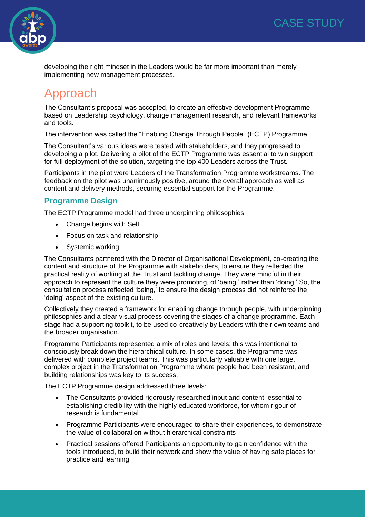



developing the right mindset in the Leaders would be far more important than merely implementing new management processes.

# Approach

The Consultant's proposal was accepted, to create an effective development Programme based on Leadership psychology, change management research, and relevant frameworks and tools.

The intervention was called the "Enabling Change Through People" (ECTP) Programme.

The Consultant's various ideas were tested with stakeholders, and they progressed to developing a pilot. Delivering a pilot of the ECTP Programme was essential to win support for full deployment of the solution, targeting the top 400 Leaders across the Trust.

Participants in the pilot were Leaders of the Transformation Programme workstreams. The feedback on the pilot was unanimously positive, around the overall approach as well as content and delivery methods, securing essential support for the Programme.

### **Programme Design**

The ECTP Programme model had three underpinning philosophies:

- Change begins with Self
- Focus on task and relationship
- Systemic working

The Consultants partnered with the Director of Organisational Development, co-creating the content and structure of the Programme with stakeholders, to ensure they reflected the practical reality of working at the Trust and tackling change. They were mindful in their approach to represent the culture they were promoting, of 'being,' rather than 'doing.' So, the consultation process reflected 'being,' to ensure the design process did not reinforce the 'doing' aspect of the existing culture.

Collectively they created a framework for enabling change through people, with underpinning philosophies and a clear visual process covering the stages of a change programme. Each stage had a supporting toolkit, to be used co-creatively by Leaders with their own teams and the broader organisation.

Programme Participants represented a mix of roles and levels; this was intentional to consciously break down the hierarchical culture. In some cases, the Programme was delivered with complete project teams. This was particularly valuable with one large, complex project in the Transformation Programme where people had been resistant, and building relationships was key to its success.

The ECTP Programme design addressed three levels:

- The Consultants provided rigorously researched input and content, essential to establishing credibility with the highly educated workforce, for whom rigour of research is fundamental
- Programme Participants were encouraged to share their experiences, to demonstrate the value of collaboration without hierarchical constraints
- Practical sessions offered Participants an opportunity to gain confidence with the tools introduced, to build their network and show the value of having safe places for practice and learning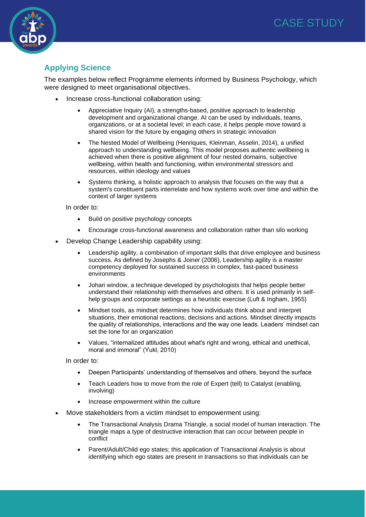

### **Applying Science**

The examples below reflect Programme elements informed by Business Psychology, which were designed to meet organisational objectives.

- Increase cross-functional collaboration using:
	- Appreciative Inquiry (AI), a strengths-based, positive approach to leadership development and organizational change. AI can be used by individuals, teams, organizations, or at a societal level; in each case, it helps people move toward a shared vision for the future by engaging others in strategic innovation
	- The Nested Model of Wellbeing (Henriques, Kleinman, Asselin, 2014), a unified approach to understanding wellbeing. This model proposes authentic wellbeing is achieved when there is positive alignment of four nested domains, subjective wellbeing, within health and functioning, within environmental stressors and resources, within ideology and values
	- Systems thinking, a holistic approach to analysis that focuses on the way that a system's constituent parts interrelate and how systems work over time and within the context of larger systems

In order to:

- Build on positive psychology concepts
- Encourage cross-functional awareness and collaboration rather than silo working
- Develop Change Leadership capability using:
	- Leadership agility, a combination of important skills that drive employee and business success. As defined by Josephs & Joiner (2006), Leadership agility is a master competency deployed for sustained success in complex, fast-paced business environments
	- Johari window, a technique developed by psychologists that helps people better understand their relationship with themselves and others. It is used primarily in selfhelp groups and corporate settings as a heuristic exercise (Luft & Ingham, 1955)
	- Mindset tools, as mindset determines how individuals think about and interpret situations, their emotional reactions, decisions and actions. Mindset directly impacts the quality of relationships, interactions and the way one leads. Leaders' mindset can set the tone for an organization
	- Values, "internalized attitudes about what's right and wrong, ethical and unethical, moral and immoral" (Yukl, 2010)

In order to:

- Deepen Participants' understanding of themselves and others, beyond the surface
- Teach Leaders how to move from the role of Expert (tell) to Catalyst (enabling, involving)
- Increase empowerment within the culture
- Move stakeholders from a victim mindset to empowerment using:
	- The Transactional Analysis Drama Triangle, a social model of human interaction. The triangle maps a type of destructive interaction that can occur between people in conflict
	- Parent/Adult/Child ego states; this application of Transactional Analysis is about identifying which ego states are present in transactions so that individuals can be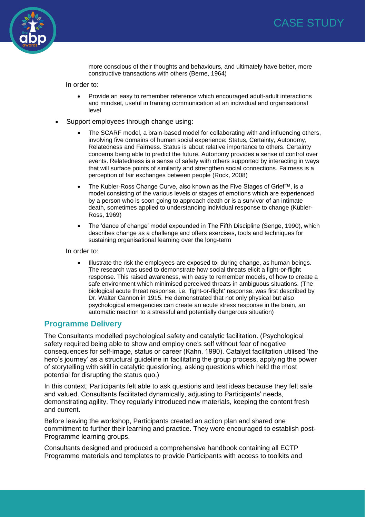



more conscious of their thoughts and behaviours, and ultimately have better, more constructive transactions with others (Berne, 1964)

In order to:

- Provide an easy to remember reference which encouraged adult-adult interactions and mindset, useful in framing communication at an individual and organisational level
- Support employees through change using:
	- The SCARF model, a brain-based model for collaborating with and influencing others, involving five domains of human social experience: Status, Certainty, Autonomy, Relatedness and Fairness. Status is about relative importance to others. Certainty concerns being able to predict the future. Autonomy provides a sense of control over events. Relatedness is a sense of safety with others supported by interacting in ways that will surface points of similarity and strengthen social connections. Fairness is a perception of fair exchanges between people (Rock, 2008)
	- The Kubler-Ross Change Curve, also known as the Five Stages of Grief™, is a model consisting of the various levels or stages of emotions which are experienced by a person who is soon going to approach death or is a survivor of an intimate death, sometimes applied to understanding individual response to change (Kübler-Ross, 1969)
	- The 'dance of change' model expounded in The Fifth Discipline (Senge, 1990), which describes change as a challenge and offers exercises, tools and techniques for sustaining organisational learning over the long-term

In order to:

• Illustrate the risk the employees are exposed to, during change, as human beings. The research was used to demonstrate how social threats elicit a fight-or-flight response. This raised awareness, with easy to remember models, of how to create a safe environment which minimised perceived threats in ambiguous situations. (The biological acute threat response, i.e. 'fight-or-flight' response, was first described by Dr. Walter Cannon in 1915. He demonstrated that not only physical but also psychological emergencies can create an acute stress response in the brain, an automatic reaction to a stressful and potentially dangerous situation)

#### **Programme Delivery**

The Consultants modelled psychological safety and catalytic facilitation. (Psychological safety required being able to show and employ one's self without fear of negative consequences for self-image, status or career (Kahn, 1990). Catalyst facilitation utilised 'the hero's journey' as a structural guideline in facilitating the group process, applying the power of storytelling with skill in catalytic questioning, asking questions which held the most potential for disrupting the status quo.)

In this context, Participants felt able to ask questions and test ideas because they felt safe and valued. Consultants facilitated dynamically, adjusting to Participants' needs, demonstrating agility. They regularly introduced new materials, keeping the content fresh and current.

Before leaving the workshop, Participants created an action plan and shared one commitment to further their learning and practice. They were encouraged to establish post-Programme learning groups.

Consultants designed and produced a comprehensive handbook containing all ECTP Programme materials and templates to provide Participants with access to toolkits and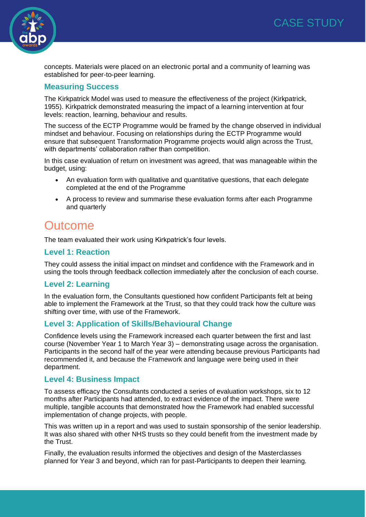

concepts. Materials were placed on an electronic portal and a community of learning was established for peer-to-peer learning.

### **Measuring Success**

The Kirkpatrick Model was used to measure the effectiveness of the project (Kirkpatrick, 1955). Kirkpatrick demonstrated measuring the impact of a learning intervention at four levels: reaction, learning, behaviour and results.

The success of the ECTP Programme would be framed by the change observed in individual mindset and behaviour. Focusing on relationships during the ECTP Programme would ensure that subsequent Transformation Programme projects would align across the Trust, with departments' collaboration rather than competition.

In this case evaluation of return on investment was agreed, that was manageable within the budget, using:

- An evaluation form with qualitative and quantitative questions, that each delegate completed at the end of the Programme
- A process to review and summarise these evaluation forms after each Programme and quarterly

### **Outcome**

The team evaluated their work using Kirkpatrick's four levels.

### **Level 1: Reaction**

They could assess the initial impact on mindset and confidence with the Framework and in using the tools through feedback collection immediately after the conclusion of each course.

### **Level 2: Learning**

In the evaluation form, the Consultants questioned how confident Participants felt at being able to implement the Framework at the Trust, so that they could track how the culture was shifting over time, with use of the Framework.

### **Level 3: Application of Skills/Behavioural Change**

Confidence levels using the Framework increased each quarter between the first and last course (November Year 1 to March Year 3) – demonstrating usage across the organisation. Participants in the second half of the year were attending because previous Participants had recommended it, and because the Framework and language were being used in their department.

### **Level 4: Business Impact**

To assess efficacy the Consultants conducted a series of evaluation workshops, six to 12 months after Participants had attended, to extract evidence of the impact. There were multiple, tangible accounts that demonstrated how the Framework had enabled successful implementation of change projects, with people.

This was written up in a report and was used to sustain sponsorship of the senior leadership. It was also shared with other NHS trusts so they could benefit from the investment made by the Trust.

Finally, the evaluation results informed the objectives and design of the Masterclasses planned for Year 3 and beyond, which ran for past-Participants to deepen their learning.